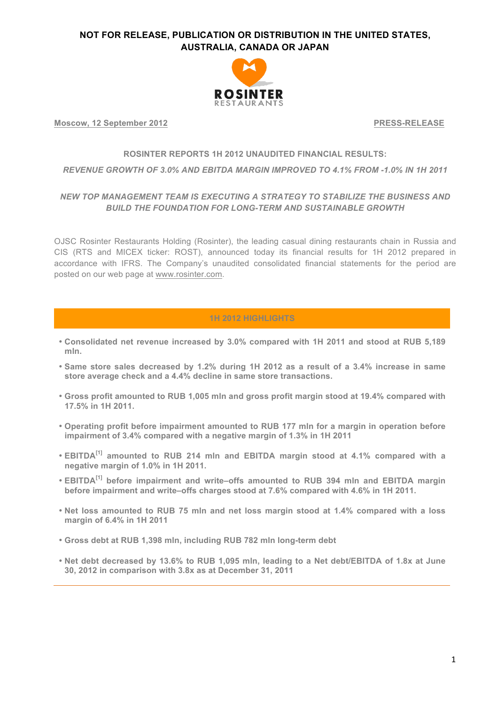

**Moscow, 12 September 2012 PRESS-RELEASE**

#### **ROSINTER REPORTS 1H 2012 UNAUDITED FINANCIAL RESULTS:**

#### *REVENUE GROWTH OF 3.0% AND EBITDA MARGIN IMPROVED TO 4.1% FROM -1.0% IN 1H 2011*

### *NEW TOP MANAGEMENT TEAM IS EXECUTING A STRATEGY TO STABILIZE THE BUSINESS AND BUILD THE FOUNDATION FOR LONG-TERM AND SUSTAINABLE GROWTH*

OJSC Rosinter Restaurants Holding (Rosinter), the leading casual dining restaurants chain in Russia and CIS (RTS and MICEX ticker: ROST), announced today its financial results for 1H 2012 prepared in accordance with IFRS. The Company's unaudited consolidated financial statements for the period are posted on our web page at www.rosinter.com.

### **1H 2012 HIGHLIGHTS**

- **Consolidated net revenue increased by 3.0% compared with 1H 2011 and stood at RUB 5,189 mln.**
- **Same store sales decreased by 1.2% during 1H 2012 as a result of a 3.4% increase in same store average check and a 4.4% decline in same store transactions.**
- **Gross profit amounted to RUB 1,005 mln and gross profit margin stood at 19.4% compared with 17.5% in 1H 2011.**
- **Operating profit before impairment amounted to RUB 177 mln for a margin in operation before impairment of 3.4% compared with a negative margin of 1.3% in 1H 2011**
- **EBITDA[1] amounted to RUB 214 mln and EBITDA margin stood at 4.1% compared with a negative margin of 1.0% in 1H 2011.**
- **EBITDA[1] before impairment and write–offs amounted to RUB 394 mln and EBITDA margin before impairment and write–offs charges stood at 7.6% compared with 4.6% in 1H 2011.**
- **Net loss amounted to RUB 75 mln and net loss margin stood at 1.4% compared with a loss margin of 6.4% in 1H 2011**
- **Gross debt at RUB 1,398 mln, including RUB 782 mln long-term debt**
- **Net debt decreased by 13.6% to RUB 1,095 mln, leading to a Net debt/EBITDA of 1.8x at June 30, 2012 in comparison with 3.8x as at December 31, 2011**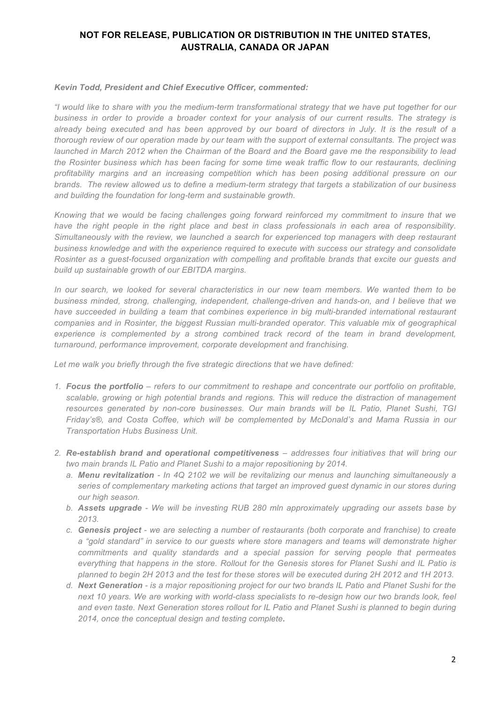#### *Kevin Todd, President and Chief Executive Officer, commented:*

*"I would like to share with you the medium-term transformational strategy that we have put together for our business in order to provide a broader context for your analysis of our current results. The strategy is already being executed and has been approved by our board of directors in July. It is the result of a thorough review of our operation made by our team with the support of external consultants. The project was launched in March 2012 when the Chairman of the Board and the Board gave me the responsibility to lead the Rosinter business which has been facing for some time weak traffic flow to our restaurants, declining profitability margins and an increasing competition which has been posing additional pressure on our brands. The review allowed us to define a medium-term strategy that targets a stabilization of our business and building the foundation for long-term and sustainable growth.* 

*Knowing that we would be facing challenges going forward reinforced my commitment to insure that we have the right people in the right place and best in class professionals in each area of responsibility. Simultaneously with the review, we launched a search for experienced top managers with deep restaurant business knowledge and with the experience required to execute with success our strategy and consolidate Rosinter as a guest-focused organization with compelling and profitable brands that excite our guests and build up sustainable growth of our EBITDA margins.*

*In our search, we looked for several characteristics in our new team members. We wanted them to be business minded, strong, challenging, independent, challenge-driven and hands-on, and I believe that we have succeeded in building a team that combines experience in big multi-branded international restaurant companies and in Rosinter, the biggest Russian multi-branded operator. This valuable mix of geographical*  experience is complemented by a strong combined track record of the team in brand development, *turnaround, performance improvement, corporate development and franchising.* 

*Let me walk you briefly through the five strategic directions that we have defined:*

- *1. Focus the portfolio – refers to our commitment to reshape and concentrate our portfolio on profitable, scalable, growing or high potential brands and regions. This will reduce the distraction of management resources generated by non-core businesses. Our main brands will be IL Patio, Planet Sushi, TGI Friday's®, and Costa Coffee, which will be complemented by McDonald's and Mama Russia in our Transportation Hubs Business Unit.*
- *2. Re-establish brand and operational competitiveness – addresses four initiatives that will bring our two main brands IL Patio and Planet Sushi to a major repositioning by 2014.* 
	- *a. Menu revitalization - In 4Q 2102 we will be revitalizing our menus and launching simultaneously a series of complementary marketing actions that target an improved guest dynamic in our stores during our high season.*
	- *b. Assets upgrade - We will be investing RUB 280 mln approximately upgrading our assets base by 2013.*
	- *c. Genesis project - we are selecting a number of restaurants (both corporate and franchise) to create a "gold standard" in service to our guests where store managers and teams will demonstrate higher commitments and quality standards and a special passion for serving people that permeates everything that happens in the store. Rollout for the Genesis stores for Planet Sushi and IL Patio is planned to begin 2H 2013 and the test for these stores will be executed during 2H 2012 and 1H 2013.*
	- *d. Next Generation - is a major repositioning project for our two brands IL Patio and Planet Sushi for the*  next 10 years. We are working with world-class specialists to re-design how our two brands look, feel *and even taste. Next Generation stores rollout for IL Patio and Planet Sushi is planned to begin during 2014, once the conceptual design and testing complete.*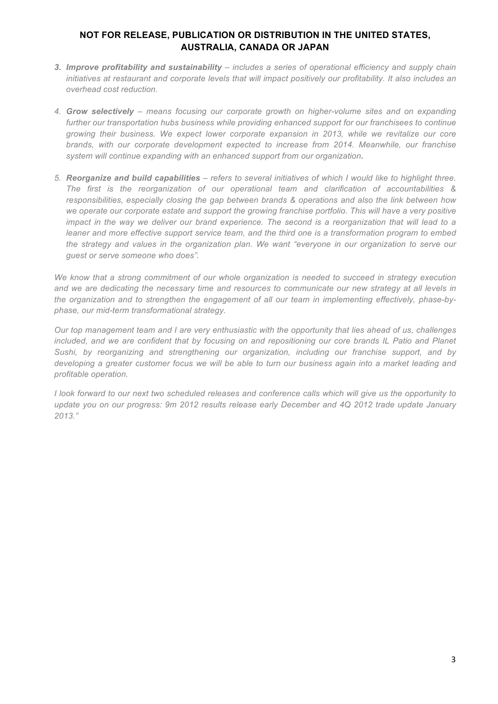- *3. Improve profitability and sustainability – includes a series of operational efficiency and supply chain initiatives at restaurant and corporate levels that will impact positively our profitability. It also includes an overhead cost reduction.*
- *4. Grow selectively – means focusing our corporate growth on higher-volume sites and on expanding further our transportation hubs business while providing enhanced support for our franchisees to continue growing their business. We expect lower corporate expansion in 2013, while we revitalize our core brands, with our corporate development expected to increase from 2014. Meanwhile, our franchise system will continue expanding with an enhanced support from our organization.*
- *5. Reorganize and build capabilities – refers to several initiatives of which I would like to highlight three. The first is the reorganization of our operational team and clarification of accountabilities & responsibilities, especially closing the gap between brands & operations and also the link between how*  we operate our corporate estate and support the growing franchise portfolio. This will have a very positive *impact in the way we deliver our brand experience. The second is a reorganization that will lead to a leaner and more effective support service team, and the third one is a transformation program to embed the strategy and values in the organization plan. We want "everyone in our organization to serve our guest or serve someone who does".*

*We know that a strong commitment of our whole organization is needed to succeed in strategy execution and we are dedicating the necessary time and resources to communicate our new strategy at all levels in the organization and to strengthen the engagement of all our team in implementing effectively, phase-byphase, our mid-term transformational strategy.* 

*Our top management team and I are very enthusiastic with the opportunity that lies ahead of us, challenges included, and we are confident that by focusing on and repositioning our core brands IL Patio and Planet Sushi, by reorganizing and strengthening our organization, including our franchise support, and by developing a greater customer focus we will be able to turn our business again into a market leading and profitable operation.*

*I look forward to our next two scheduled releases and conference calls which will give us the opportunity to update you on our progress: 9m 2012 results release early December and 4Q 2012 trade update January 2013."*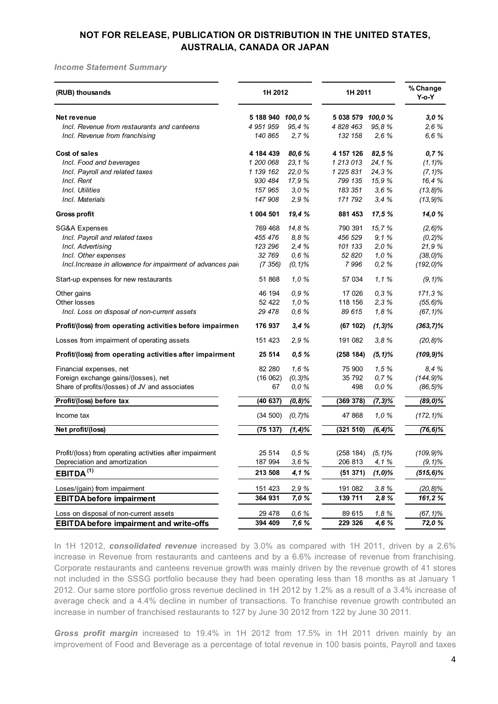*Income Statement Summary*

| (RUB) thousands                                             | 1H 2012           |            | 1H 2011                |            | % Change<br>$Y$ -o- $Y$ |  |
|-------------------------------------------------------------|-------------------|------------|------------------------|------------|-------------------------|--|
| Net revenue                                                 | 5 188 940 100,0 % |            | 5 038 579 100,0 %      |            | 3,0%                    |  |
| Incl. Revenue from restaurants and canteens                 | 4 951 959         | 95.4%      | 4 828 463              | 95.8%      | 2.6%                    |  |
| Incl. Revenue from franchising                              | 140 865           | 2,7%       | 132 158                | 2,6%       | 6,6%                    |  |
| Cost of sales                                               | 4 184 439         | 80,6%      | 4 157 126              | 82,5 %     | 0,7%                    |  |
| Incl. Food and beverages                                    | 1 200 068         | 23, 1%     | 1 213 013              | 24,1%      | $(1, 1)$ %              |  |
| Incl. Payroll and related taxes                             | 1 139 162         | 22.0%      | 1 225 831              | 24.3%      | $(7, 1)\%$              |  |
| Incl. Rent                                                  | 930 484           | 17,9%      | 799 135                | 15,9%      | 16,4%                   |  |
| Incl. Utilities                                             | 157 965           | 3,0%       | 183 351                | 3,6%       | $(13, 8)\%$             |  |
| Incl. Materials                                             | 147 908           | 2,9%       | 171 792                | 3,4%       | $(13, 9)$ %             |  |
| <b>Gross profit</b>                                         | 1 004 501         | 19,4 %     | 881 453                | 17,5%      | 14,0%                   |  |
| <b>SG&amp;A Expenses</b>                                    | 769 468           | 14,8%      | 790 391                | 15,7%      | $(2, 6)$ %              |  |
| Incl. Payroll and related taxes                             | 455 476           | 8,8%       | 456 529                | 9,1%       | $(0, 2)$ %              |  |
| Incl. Advertising                                           | 123 296           | 2.4%       | 101 133                | 2,0%       | 21,9%                   |  |
| Incl. Other expenses                                        | 32 769            | 0,6%       | 52 820                 | 1,0%       | $(38, 0)\%$             |  |
| Incl. Increase in allowance for impairment of advances paid | (7 356)           | $(0, 1)\%$ | 7996                   | 0,2%       | $(192, 0)\%$            |  |
| Start-up expenses for new restaurants                       | 51 868            | 1,0%       | 57 034                 | 1, 1%      | $(9, 1)\%$              |  |
| Other gains                                                 | 46 194            | 0,9%       | 17 0 26                | 0,3%       | 171,3%                  |  |
| Other losses                                                | 52 422            | 1,0%       | 118 156                | 2,3%       | $(55, 6)$ %             |  |
| Incl. Loss on disposal of non-current assets                | 29 478            | 0,6%       | 89 615                 | 1,8%       | $(67, 1)\%$             |  |
| Profit/(loss) from operating activities before impairmen    | 176 937           | 3,4%       | (67 102)               | $(1,3)\%$  | $(363, 7)\%$            |  |
| Losses from impairment of operating assets                  | 151 423           | 2,9%       | 191 082                | 3,8%       | (20, 8)%                |  |
| Profit/(loss) from operating activities after impairment    | 25 514            | 0,5%       | (258 184)              | $(5, 1)\%$ | $(109, 9)\%$            |  |
| Financial expenses, net                                     | 82 280            | 1,6%       | 75 900                 | 1,5%       | 8.4%                    |  |
| Foreign exchange gains/(losses), net                        | (16062)           | $(0, 3)$ % | 35 792                 | 0,7%       | $(144, 9)\%$            |  |
| Share of profits/(losses) of JV and associates              | 67                | 0,0%       | 498                    | 0,0%       | $(86, 5)\%$             |  |
| Profit/(loss) before tax                                    | (40637)           | $(0,8)\%$  | (369 378)              | $(7,3)\%$  | $(89, 0)\%$             |  |
| Income tax                                                  | (34 500)          | $(0, 7)$ % | 47 868                 | 1,0%       | $(172, 1)\%$            |  |
| Net profit/(loss)                                           | (75137)           | $(1, 4)$ % | (321 510)              | $(6, 4)\%$ | $(76, 6)\%$             |  |
|                                                             |                   |            |                        |            |                         |  |
| Profit/(loss) from operating activities after impairment    | 25 514            | $0, 5 \%$  | $(258 184)$ $(5, 1)\%$ |            | $(109, 9)$ %            |  |
| Depreciation and amortization                               | 187 994           | 3,6%       | 206 813                | 4,1%       | $(9, 1)\%$              |  |
| EBITDA <sup>(1)</sup>                                       | 213 508           | 4,1%       | (51 371)               | $(1,0)\%$  | $(515, 6)\%$            |  |
| Loses/(gain) from impairment                                | 151 423           | 2,9%       | 191 082                | 3,8%       | (20, 8)%                |  |
| <b>EBITDA</b> before impairment                             | 364 931           | 7,0%       | 139 711                | 2,8%       | 161,2%                  |  |
| Loss on disposal of non-current assets                      | 29 4 78           | 0,6%       | 89 615                 | 1,8%       | $(67, 1)\%$             |  |
| <b>EBITDA</b> before impairment and write-offs              | 394 409           | 7,6%       | 229 326                | 4,6%       | 72,0%                   |  |

In 1H 12012, *consolidated revenue* increased by 3.0% as compared with 1H 2011, driven by a 2.6% increase in Revenue from restaurants and canteens and by a 6.6% increase of revenue from franchising. Corporate restaurants and canteens revenue growth was mainly driven by the revenue growth of 41 stores not included in the SSSG portfolio because they had been operating less than 18 months as at January 1 2012. Our same store portfolio gross revenue declined in 1H 2012 by 1.2% as a result of a 3.4% increase of average check and a 4.4% decline in number of transactions. To franchise revenue growth contributed an increase in number of franchised restaurants to 127 by June 30 2012 from 122 by June 30 2011.

*Gross profit margin* increased to 19.4% in 1H 2012 from 17.5% in 1H 2011 driven mainly by an improvement of Food and Beverage as a percentage of total revenue in 100 basis points, Payroll and taxes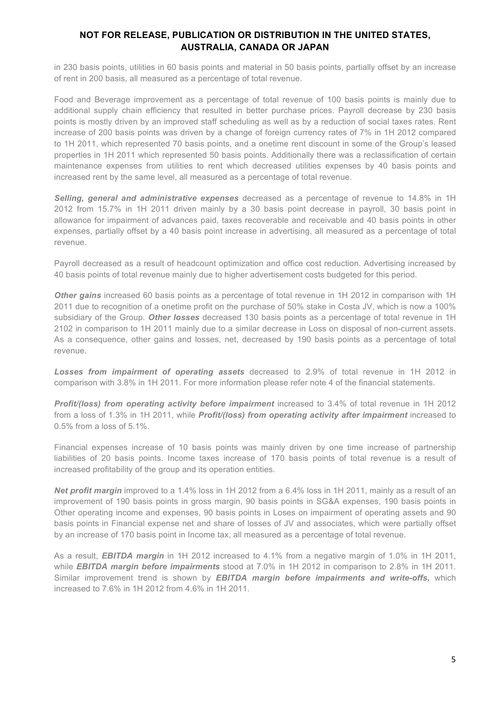in 230 basis points, utilities in 60 basis points and material in 50 basis points, partially offset by an increase of rent in 200 basis, all measured as a percentage of total revenue.

Food and Beverage improvement as a percentage of total revenue of 100 basis points is mainly due to additional supply chain efficiency that resulted in better purchase prices. Payroll decrease by 230 basis points is mostly driven by an improved staff scheduling as well as by a reduction of social taxes rates. Rent increase of 200 basis points was driven by a change of foreign currency rates of 7% in 1H 2012 compared to 1H 2011, which represented 70 basis points, and a onetime rent discount in some of the Group's leased properties in 1H 2011 which represented 50 basis points. Additionally there was a reclassification of certain maintenance expenses from utilities to rent which decreased utilities expenses by 40 basis points and increased rent by the same level, all measured as a percentage of total revenue.

*Selling, general and administrative expenses* decreased as a percentage of revenue to 14.8% in 1H 2012 from 15.7% in 1H 2011 driven mainly by a 30 basis point decrease in payroll, 30 basis point in allowance for impairment of advances paid, taxes recoverable and receivable and 40 basis points in other expenses, partially offset by a 40 basis point increase in advertising, all measured as a percentage of total revenue.

Payroll decreased as a result of headcount optimization and office cost reduction. Advertising increased by 40 basis points of total revenue mainly due to higher advertisement costs budgeted for this period.

*Other gains* increased 60 basis points as a percentage of total revenue in 1H 2012 in comparison with 1H 2011 due to recognition of a onetime profit on the purchase of 50% stake in Costa JV, which is now a 100% subsidiary of the Group. *Other losses* decreased 130 basis points as a percentage of total revenue in 1H 2102 in comparison to 1H 2011 mainly due to a similar decrease in Loss on disposal of non-current assets. As a consequence, other gains and losses, net, decreased by 190 basis points as a percentage of total revenue.

*Losses from impairment of operating assets* decreased to 2.9% of total revenue in 1H 2012 in comparison with 3.8% in 1H 2011. For more information please refer note 4 of the financial statements.

*Profit/(loss) from operating activity before impairment* increased to 3.4% of total revenue in 1H 2012 from a loss of 1.3% in 1H 2011, while *Profit/(loss) from operating activity after impairment* increased to 0.5% from a loss of 5.1%.

Financial expenses increase of 10 basis points was mainly driven by one time increase of partnership liabilities of 20 basis points. Income taxes increase of 170 basis points of total revenue is a result of increased profitability of the group and its operation entities.

*Net profit margin* improved to a 1.4% loss in 1H 2012 from a 6.4% loss in 1H 2011, mainly as a result of an improvement of 190 basis points in gross margin, 90 basis points in SG&A expenses, 190 basis points in Other operating income and expenses, 90 basis points in Loses on impairment of operating assets and 90 basis points in Financial expense net and share of losses of JV and associates, which were partially offset by an increase of 170 basis point in Income tax, all measured as a percentage of total revenue.

As a result, *EBITDA margin* in 1H 2012 increased to 4.1% from a negative margin of 1.0% in 1H 2011, while *EBITDA margin before impairments* stood at 7.0% in 1H 2012 in comparison to 2.8% in 1H 2011. Similar improvement trend is shown by *EBITDA margin before impairments and write-offs,* which increased to 7.6% in 1H 2012 from 4.6% in 1H 2011.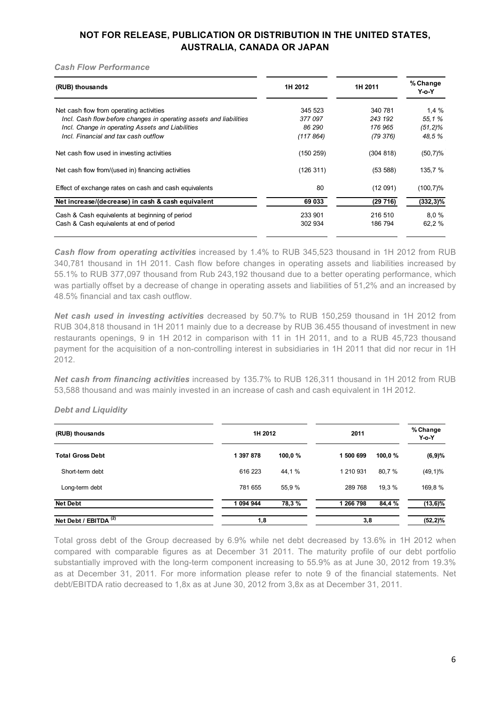#### *Cash Flow Performance*

| (RUB) thousands                                                    | 1H 2012   | 1H 2011   | % Change<br>Y-o-Y |
|--------------------------------------------------------------------|-----------|-----------|-------------------|
| Net cash flow from operating activities                            | 345 523   | 340 781   | 1,4%              |
| Incl. Cash flow before changes in operating assets and liabilities | 377097    | 243 192   | 55.1%             |
| Incl. Change in operating Assets and Liabilities                   | 86 290    | 176 965   | $(51, 2)\%$       |
| Incl. Financial and tax cash outflow                               | (117864)  | (79 376)  | 48.5%             |
| Net cash flow used in investing activities                         | (150 259) | (304 818) | $(50,7)\%$        |
| Net cash flow from/(used in) financing activities                  | (126311)  | (53 588)  | 135,7 %           |
| Effect of exchange rates on cash and cash equivalents              | 80        | (12091)   | $(100, 7)\%$      |
| Net increase/(decrease) in cash & cash equivalent                  | 69 033    | (29716)   | $(332, 3)\%$      |
| Cash & Cash equivalents at beginning of period                     | 233 901   | 216 510   | 8.0%              |
| Cash & Cash equivalents at end of period                           | 302 934   | 186 794   | 62,2 %            |
|                                                                    |           |           |                   |

*Cash flow from operating activities* increased by 1.4% to RUB 345,523 thousand in 1H 2012 from RUB 340,781 thousand in 1H 2011. Cash flow before changes in operating assets and liabilities increased by 55.1% to RUB 377,097 thousand from Rub 243,192 thousand due to a better operating performance, which was partially offset by a decrease of change in operating assets and liabilities of 51,2% and an increased by 48.5% financial and tax cash outflow.

*Net cash used in investing activities* decreased by 50.7% to RUB 150,259 thousand in 1H 2012 from RUB 304,818 thousand in 1H 2011 mainly due to a decrease by RUB 36.455 thousand of investment in new restaurants openings, 9 in 1H 2012 in comparison with 11 in 1H 2011, and to a RUB 45,723 thousand payment for the acquisition of a non-controlling interest in subsidiaries in 1H 2011 that did nor recur in 1H 2012.

*Net cash from financing activities* increased by 135.7% to RUB 126,311 thousand in 1H 2012 from RUB 53,588 thousand and was mainly invested in an increase of cash and cash equivalent in 1H 2012.

### *Debt and Liquidity*

| (RUB) thousands                  |           | 1H 2012 |           | 2011    |             |
|----------------------------------|-----------|---------|-----------|---------|-------------|
| <b>Total Gross Debt</b>          | 1 397 878 | 100,0 % | 1 500 699 | 100,0 % | (6,9)%      |
| Short-term debt                  | 616 223   | 44,1%   | 1 210 931 | 80,7 %  | $(49,1)\%$  |
| Long-term debt                   | 781 655   | 55,9 %  | 289 768   | 19,3 %  | 169,8%      |
| <b>Net Debt</b>                  | 1 094 944 | 78,3%   | 1 266 798 | 84,4 %  | $(13, 6)\%$ |
| Net Debt / EBITDA <sup>(2)</sup> | 1,8       |         | 3,8       |         | $(52, 2)\%$ |

Total gross debt of the Group decreased by 6.9% while net debt decreased by 13.6% in 1H 2012 when compared with comparable figures as at December 31 2011. The maturity profile of our debt portfolio substantially improved with the long-term component increasing to 55.9% as at June 30, 2012 from 19.3% as at December 31, 2011. For more information please refer to note 9 of the financial statements. Net debt/EBITDA ratio decreased to 1,8x as at June 30, 2012 from 3,8x as at December 31, 2011.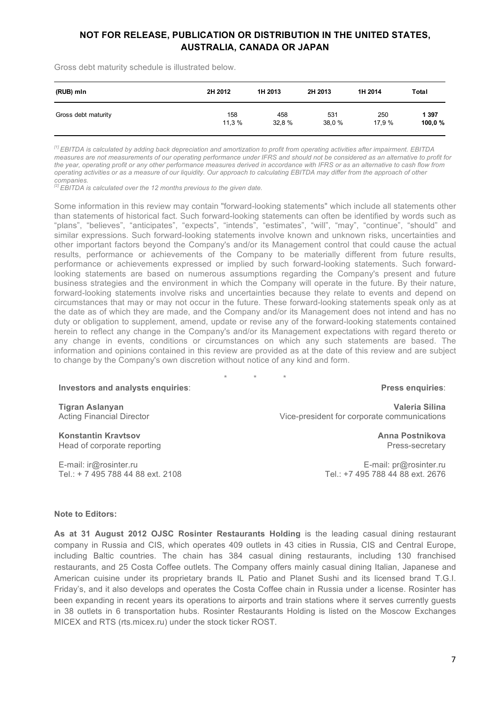Gross debt maturity schedule is illustrated below.

| (RUB) mln           | 2H 2012 | 1H 2013 | 2H 2013 | 1H 2014 | Total   |
|---------------------|---------|---------|---------|---------|---------|
| Gross debt maturity | 158     | 458     | 531     | 250     | 1 3 9 7 |
|                     | 11.3 %  | 32.8 %  | 38.0 %  | 17.9 %  | 100,0 % |

*[1] EBITDA is calculated by adding back depreciation and amortization to profit from operating activities after impairment. EBITDA measures are not measurements of our operating performance under IFRS and should not be considered as an alternative to profit for the year, operating profit or any other performance measures derived in accordance with IFRS or as an alternative to cash flow from operating activities or as a measure of our liquidity. Our approach to calculating EBITDA may differ from the approach of other companies.*

*[2] EBITDA is calculated over the 12 months previous to the given date.*

Some information in this review may contain "forward-looking statements" which include all statements other than statements of historical fact. Such forward-looking statements can often be identified by words such as "plans", "believes", "anticipates", "expects", "intends", "estimates", "will", "may", "continue", "should" and similar expressions. Such forward-looking statements involve known and unknown risks, uncertainties and other important factors beyond the Company's and/or its Management control that could cause the actual results, performance or achievements of the Company to be materially different from future results, performance or achievements expressed or implied by such forward-looking statements. Such forwardlooking statements are based on numerous assumptions regarding the Company's present and future business strategies and the environment in which the Company will operate in the future. By their nature, forward-looking statements involve risks and uncertainties because they relate to events and depend on circumstances that may or may not occur in the future. These forward-looking statements speak only as at the date as of which they are made, and the Company and/or its Management does not intend and has no duty or obligation to supplement, amend, update or revise any of the forward-looking statements contained herein to reflect any change in the Company's and/or its Management expectations with regard thereto or any change in events, conditions or circumstances on which any such statements are based. The information and opinions contained in this review are provided as at the date of this review and are subject to change by the Company's own discretion without notice of any kind and form.

\* \* \*

**Press enquiries**:

**Valeria Silina**

Press-secretary

**Tigran Aslanyan** Acting Financial Director

Vice-president for corporate communications **Anna Postnikova**

**Konstantin Kravtsov** Head of corporate reporting

E-mail: ir@rosinter.ru Tel.: + 7 495 788 44 88 ext. 2108

**Investors and analysts enquiries**:

E-mail: pr@rosinter.ru Tel.: +7 495 788 44 88 ext. 2676

#### **Note to Editors:**

**As at 31 August 2012 OJSC Rosinter Restaurants Holding** is the leading casual dining restaurant company in Russia and CIS, which operates 409 outlets in 43 cities in Russia, CIS and Central Europe, including Baltic countries. The chain has 384 casual dining restaurants, including 130 franchised restaurants, and 25 Costa Coffee outlets. The Company offers mainly casual dining Italian, Japanese and American cuisine under its proprietary brands IL Patio and Planet Sushi and its licensed brand T.G.I. Friday's, and it also develops and operates the Costa Coffee chain in Russia under a license. Rosinter has been expanding in recent years its operations to airports and train stations where it serves currently guests in 38 outlets in 6 transportation hubs. Rosinter Restaurants Holding is listed on the Moscow Exchanges MICEX and RTS (rts.micex.ru) under the stock ticker ROST.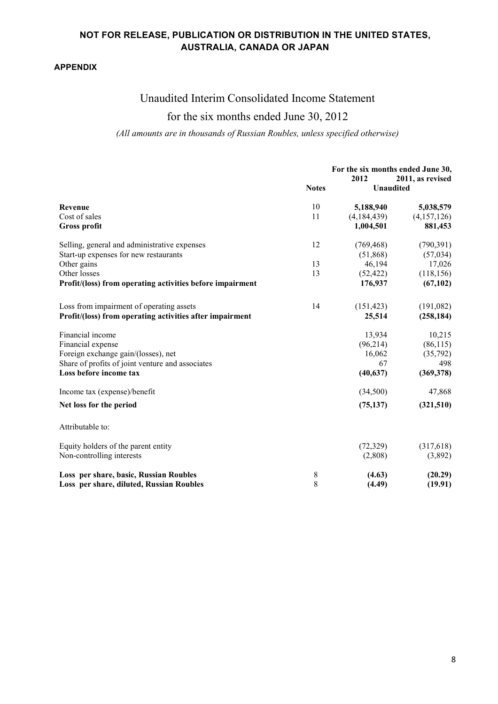### **APPENDIX**

# Unaudited Interim Consolidated Income Statement

# for the six months ended June 30, 2012

### *(All amounts are in thousands of Russian Roubles, unless specified otherwise)*

|                                                           |              | For the six months ended June 30,<br>2012<br>2011, as revised |             |  |
|-----------------------------------------------------------|--------------|---------------------------------------------------------------|-------------|--|
|                                                           | <b>Notes</b> | <b>Unaudited</b>                                              |             |  |
| Revenue                                                   | 10           | 5,188,940                                                     | 5,038,579   |  |
| Cost of sales                                             | 11           | (4,184,439)                                                   | (4,157,126) |  |
| <b>Gross profit</b>                                       |              | 1,004,501                                                     | 881,453     |  |
| Selling, general and administrative expenses              | 12           | (769, 468)                                                    | (790, 391)  |  |
| Start-up expenses for new restaurants                     |              | (51,868)                                                      | (57, 034)   |  |
| Other gains                                               | 13           | 46,194                                                        | 17,026      |  |
| Other losses                                              | 13           | (52, 422)                                                     | (118, 156)  |  |
| Profit/(loss) from operating activities before impairment |              | 176,937                                                       | (67, 102)   |  |
| Loss from impairment of operating assets                  | 14           | (151, 423)                                                    | (191,082)   |  |
| Profit/(loss) from operating activities after impairment  |              | 25,514                                                        | (258, 184)  |  |
| Financial income                                          |              | 13,934                                                        | 10,215      |  |
| Financial expense                                         |              | (96,214)                                                      | (86, 115)   |  |
| Foreign exchange gain/(losses), net                       |              | 16,062                                                        | (35,792)    |  |
| Share of profits of joint venture and associates          |              | 67                                                            | 498         |  |
| Loss before income tax                                    |              | (40, 637)                                                     | (369, 378)  |  |
| Income tax (expense)/benefit                              |              | (34,500)                                                      | 47,868      |  |
| Net loss for the period                                   |              | (75, 137)                                                     | (321,510)   |  |
| Attributable to:                                          |              |                                                               |             |  |
| Equity holders of the parent entity                       |              | (72, 329)                                                     | (317,618)   |  |
| Non-controlling interests                                 |              | (2,808)                                                       | (3,892)     |  |
| Loss per share, basic, Russian Roubles                    | 8            | (4.63)                                                        | (20.29)     |  |
| Loss per share, diluted, Russian Roubles                  | 8            | (4.49)                                                        | (19.91)     |  |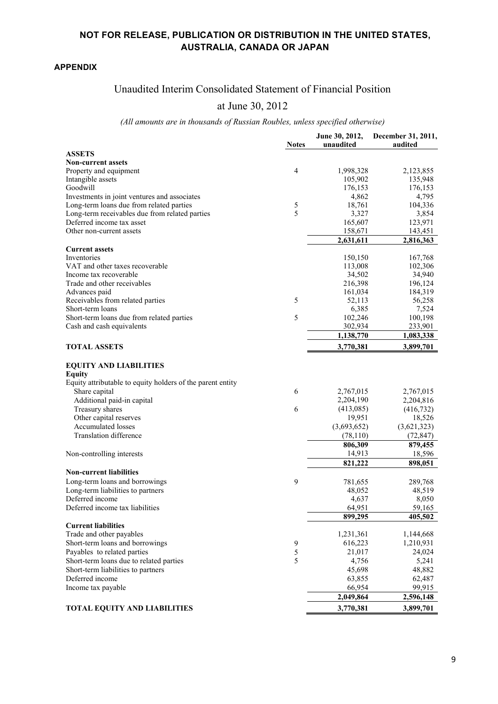### **APPENDIX**

# Unaudited Interim Consolidated Statement of Financial Position

## at June 30, 2012

# *(All amounts are in thousands of Russian Roubles, unless specified otherwise)*

|                                                                                                              | <b>Notes</b> | June 30, 2012,<br>unaudited | December 31, 2011,<br>audited |
|--------------------------------------------------------------------------------------------------------------|--------------|-----------------------------|-------------------------------|
| <b>ASSETS</b>                                                                                                |              |                             |                               |
| <b>Non-current assets</b>                                                                                    |              |                             |                               |
| Property and equipment                                                                                       | 4            | 1,998,328                   | 2,123,855                     |
| Intangible assets                                                                                            |              | 105,902                     | 135,948                       |
| Goodwill                                                                                                     |              | 176,153                     | 176,153                       |
| Investments in joint ventures and associates                                                                 |              | 4,862                       | 4,795                         |
| Long-term loans due from related parties                                                                     | 5            | 18,761                      | 104,336                       |
| Long-term receivables due from related parties                                                               | 5            | 3,327                       | 3,854                         |
| Deferred income tax asset                                                                                    |              | 165,607                     | 123,971                       |
| Other non-current assets                                                                                     |              | 158,671                     | 143,451                       |
|                                                                                                              |              | 2,631,611                   | 2,816,363                     |
| <b>Current assets</b>                                                                                        |              |                             |                               |
| Inventories                                                                                                  |              | 150,150                     | 167,768                       |
| VAT and other taxes recoverable                                                                              |              | 113,008                     | 102,306                       |
| Income tax recoverable                                                                                       |              | 34,502                      | 34,940                        |
| Trade and other receivables                                                                                  |              | 216,398                     | 196,124                       |
| Advances paid                                                                                                |              | 161,034                     | 184,319                       |
| Receivables from related parties                                                                             | 5            | 52,113                      | 56,258                        |
| Short-term loans                                                                                             |              | 6,385                       | 7,524                         |
| Short-term loans due from related parties                                                                    | 5            | 102,246                     | 100,198                       |
| Cash and cash equivalents                                                                                    |              | 302,934                     | 233,901                       |
|                                                                                                              |              | 1,138,770                   | 1,083,338                     |
| <b>TOTAL ASSETS</b>                                                                                          |              | 3,770,381                   | 3,899,701                     |
| <b>EQUITY AND LIABILITIES</b><br><b>Equity</b><br>Equity attributable to equity holders of the parent entity |              |                             |                               |
| Share capital                                                                                                | 6            | 2,767,015                   | 2,767,015                     |
| Additional paid-in capital                                                                                   |              | 2,204,190                   | 2,204,816                     |
| Treasury shares                                                                                              | 6            | (413,085)                   | (416, 732)                    |
| Other capital reserves                                                                                       |              | 19,951                      | 18,526                        |
| <b>Accumulated losses</b>                                                                                    |              | (3,693,652)                 | (3,621,323)                   |
| <b>Translation difference</b>                                                                                |              | (78, 110)                   |                               |
|                                                                                                              |              |                             | (72, 847)                     |
|                                                                                                              |              | 806,309                     | 879,455                       |
| Non-controlling interests                                                                                    |              | 14,913                      | 18,596                        |
| <b>Non-current liabilities</b>                                                                               |              | 821,222                     | 898,051                       |
| Long-term loans and borrowings                                                                               | 9            | 781,655                     | 289,768                       |
| Long-term liabilities to partners                                                                            |              | 48,052                      | 48,519                        |
| Deferred income                                                                                              |              | 4,637                       | 8,050                         |
| Deferred income tax liabilities                                                                              |              | 64,951                      | 59,165                        |
|                                                                                                              |              | 899,295                     | 405,502                       |
| <b>Current liabilities</b>                                                                                   |              |                             |                               |
| Trade and other payables                                                                                     |              | 1,231,361                   | 1,144,668                     |
|                                                                                                              | 9            | 616,223                     | 1,210,931                     |
| Short-term loans and borrowings                                                                              |              |                             |                               |
| Payables to related parties                                                                                  | 5            | 21,017                      | 24,024                        |
| Short-term loans due to related parties                                                                      | 5            | 4,756                       | 5,241                         |
| Short-term liabilities to partners                                                                           |              | 45,698                      | 48,882                        |
| Deferred income                                                                                              |              | 63,855                      | 62,487                        |
| Income tax payable                                                                                           |              | 66,954                      | 99,915                        |
|                                                                                                              |              | 2,049,864                   | 2,596,148                     |
| <b>TOTAL EQUITY AND LIABILITIES</b>                                                                          |              | 3,770,381                   | 3,899,701                     |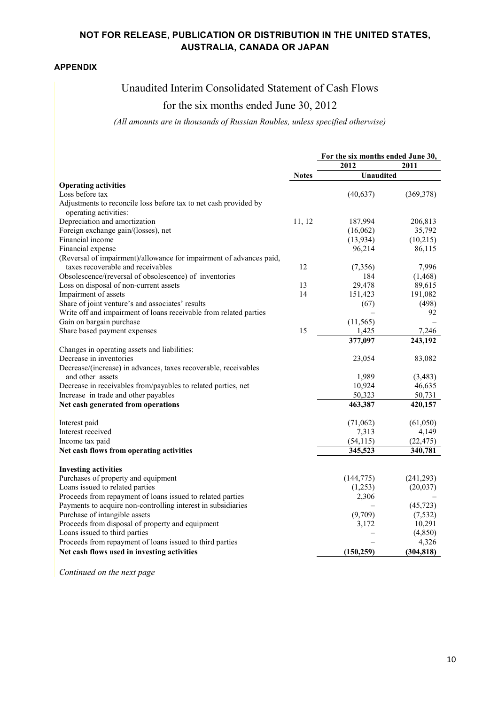### **APPENDIX**

## Unaudited Interim Consolidated Statement of Cash Flows

## for the six months ended June 30, 2012

*(All amounts are in thousands of Russian Roubles, unless specified otherwise)*

|                                                                                           |              |                  | For the six months ended June 30, |  |
|-------------------------------------------------------------------------------------------|--------------|------------------|-----------------------------------|--|
|                                                                                           |              | 2012             | 2011                              |  |
|                                                                                           | <b>Notes</b> | <b>Unaudited</b> |                                   |  |
| <b>Operating activities</b>                                                               |              |                  |                                   |  |
| Loss before tax                                                                           |              | (40, 637)        | (369, 378)                        |  |
| Adjustments to reconcile loss before tax to net cash provided by<br>operating activities: |              |                  |                                   |  |
| Depreciation and amortization                                                             | 11, 12       | 187,994          | 206,813                           |  |
| Foreign exchange gain/(losses), net                                                       |              | (16,062)         | 35,792                            |  |
| Financial income                                                                          |              | (13, 934)        | (10,215)                          |  |
| Financial expense                                                                         |              | 96,214           | 86,115                            |  |
| (Reversal of impairment)/allowance for impairment of advances paid,                       |              |                  |                                   |  |
| taxes recoverable and receivables                                                         | 12           | (7,356)          | 7,996                             |  |
| Obsolescence/(reversal of obsolescence) of inventories                                    |              | 184              | (1, 468)                          |  |
| Loss on disposal of non-current assets                                                    | 13           | 29,478           | 89,615                            |  |
| Impairment of assets                                                                      | 14           | 151,423          | 191,082                           |  |
| Share of joint venture's and associates' results                                          |              | (67)             | (498)                             |  |
| Write off and impairment of loans receivable from related parties                         |              |                  | 92                                |  |
| Gain on bargain purchase                                                                  |              | (11, 565)        |                                   |  |
| Share based payment expenses                                                              | 15           | 1,425            | 7,246                             |  |
|                                                                                           |              | 377,097          | 243,192                           |  |
| Changes in operating assets and liabilities:                                              |              |                  |                                   |  |
| Decrease in inventories                                                                   |              | 23,054           | 83,082                            |  |
| Decrease/(increase) in advances, taxes recoverable, receivables                           |              |                  |                                   |  |
| and other assets                                                                          |              | 1,989            | (3,483)                           |  |
| Decrease in receivables from/payables to related parties, net                             |              | 10,924           | 46,635                            |  |
| Increase in trade and other payables                                                      |              | 50,323           | 50,731                            |  |
| Net cash generated from operations                                                        |              | 463,387          | 420,157                           |  |
| Interest paid                                                                             |              | (71,062)         | (61,050)                          |  |
| Interest received                                                                         |              | 7,313            | 4,149                             |  |
| Income tax paid                                                                           |              | (54, 115)        | (22, 475)                         |  |
| Net cash flows from operating activities                                                  |              | 345,523          | 340,781                           |  |
| <b>Investing activities</b>                                                               |              |                  |                                   |  |
| Purchases of property and equipment                                                       |              | (144, 775)       | (241, 293)                        |  |
| Loans issued to related parties                                                           |              | (1,253)          | (20,037)                          |  |
| Proceeds from repayment of loans issued to related parties                                |              | 2,306            |                                   |  |
| Payments to acquire non-controlling interest in subsidiaries                              |              |                  | (45, 723)                         |  |
| Purchase of intangible assets                                                             |              | (9,709)          | (7, 532)                          |  |
| Proceeds from disposal of property and equipment                                          |              | 3,172            | 10,291                            |  |
| Loans issued to third parties                                                             |              |                  | (4, 850)                          |  |
| Proceeds from repayment of loans issued to third parties                                  |              |                  | 4,326                             |  |
| Net cash flows used in investing activities                                               |              | (150, 259)       | (304, 818)                        |  |

*Continued on the next page*